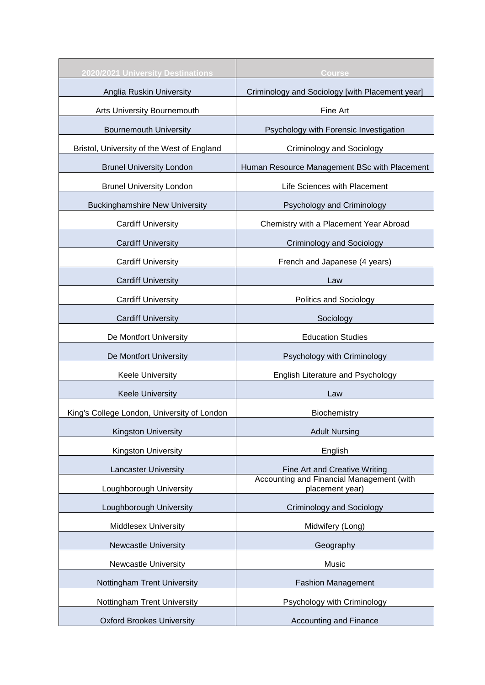| 2020/2021 University Destinations           | Course                                                       |
|---------------------------------------------|--------------------------------------------------------------|
| Anglia Ruskin University                    | Criminology and Sociology [with Placement year]              |
| Arts University Bournemouth                 | Fine Art                                                     |
| <b>Bournemouth University</b>               | Psychology with Forensic Investigation                       |
| Bristol, University of the West of England  | Criminology and Sociology                                    |
| <b>Brunel University London</b>             | Human Resource Management BSc with Placement                 |
| <b>Brunel University London</b>             | Life Sciences with Placement                                 |
| <b>Buckinghamshire New University</b>       | Psychology and Criminology                                   |
| <b>Cardiff University</b>                   | Chemistry with a Placement Year Abroad                       |
| <b>Cardiff University</b>                   | <b>Criminology and Sociology</b>                             |
| <b>Cardiff University</b>                   | French and Japanese (4 years)                                |
| <b>Cardiff University</b>                   | Law                                                          |
| <b>Cardiff University</b>                   | <b>Politics and Sociology</b>                                |
| <b>Cardiff University</b>                   | Sociology                                                    |
| De Montfort University                      | <b>Education Studies</b>                                     |
| De Montfort University                      | Psychology with Criminology                                  |
| <b>Keele University</b>                     | English Literature and Psychology                            |
| <b>Keele University</b>                     | Law                                                          |
| King's College London, University of London | Biochemistry                                                 |
| Kingston University                         | <b>Adult Nursing</b>                                         |
| Kingston University                         | English                                                      |
| <b>Lancaster University</b>                 | Fine Art and Creative Writing                                |
| Loughborough University                     | Accounting and Financial Management (with<br>placement year) |
| Loughborough University                     | <b>Criminology and Sociology</b>                             |
| <b>Middlesex University</b>                 | Midwifery (Long)                                             |
| <b>Newcastle University</b>                 | Geography                                                    |
| <b>Newcastle University</b>                 | Music                                                        |
| Nottingham Trent University                 | <b>Fashion Management</b>                                    |
| Nottingham Trent University                 | Psychology with Criminology                                  |
| <b>Oxford Brookes University</b>            | <b>Accounting and Finance</b>                                |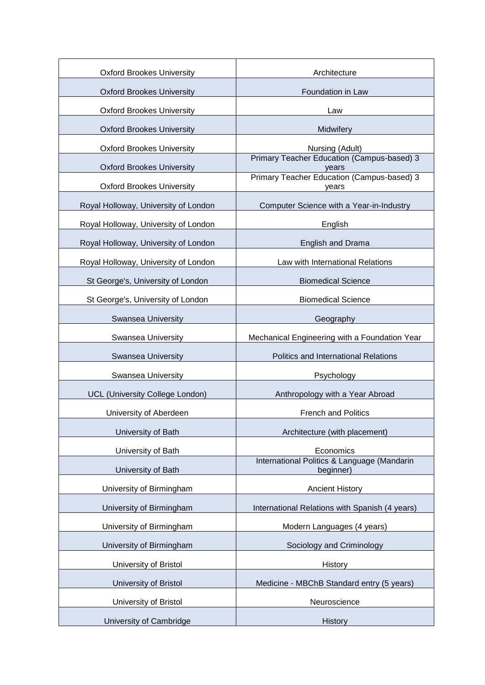| <b>Oxford Brookes University</b>       | Architecture                                             |
|----------------------------------------|----------------------------------------------------------|
| <b>Oxford Brookes University</b>       | Foundation in Law                                        |
| <b>Oxford Brookes University</b>       | Law                                                      |
| <b>Oxford Brookes University</b>       | Midwifery                                                |
| <b>Oxford Brookes University</b>       | Nursing (Adult)                                          |
| <b>Oxford Brookes University</b>       | Primary Teacher Education (Campus-based) 3<br>years      |
| <b>Oxford Brookes University</b>       | Primary Teacher Education (Campus-based) 3<br>years      |
| Royal Holloway, University of London   | Computer Science with a Year-in-Industry                 |
| Royal Holloway, University of London   | English                                                  |
| Royal Holloway, University of London   | English and Drama                                        |
| Royal Holloway, University of London   | Law with International Relations                         |
| St George's, University of London      | <b>Biomedical Science</b>                                |
| St George's, University of London      | <b>Biomedical Science</b>                                |
| Swansea University                     | Geography                                                |
| Swansea University                     | Mechanical Engineering with a Foundation Year            |
| <b>Swansea University</b>              | Politics and International Relations                     |
| Swansea University                     | Psychology                                               |
| <b>UCL (University College London)</b> | Anthropology with a Year Abroad                          |
| University of Aberdeen                 | <b>French and Politics</b>                               |
| University of Bath                     | Architecture (with placement)                            |
| University of Bath                     | Economics                                                |
| University of Bath                     | International Politics & Language (Mandarin<br>beginner) |
| University of Birmingham               | <b>Ancient History</b>                                   |
| University of Birmingham               | International Relations with Spanish (4 years)           |
| University of Birmingham               | Modern Languages (4 years)                               |
| University of Birmingham               | Sociology and Criminology                                |
| University of Bristol                  | History                                                  |
| University of Bristol                  | Medicine - MBChB Standard entry (5 years)                |
| University of Bristol                  | Neuroscience                                             |
| University of Cambridge                | History                                                  |